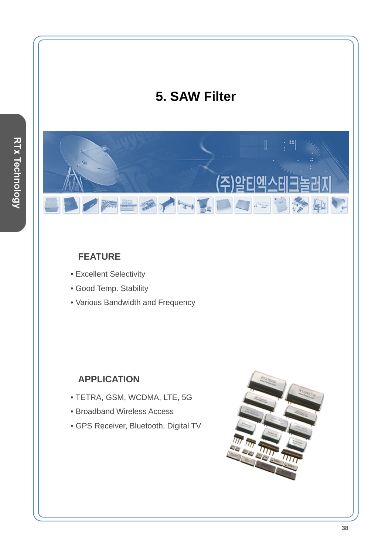# **5. SAW Filter**

(주

SAMMENDRE

#### **FEATURE**

• Excellent Selectivity

 $\overline{\mathscr{U}}$ 

- Good Temp. Stability
- Various Bandwidth and Frequency

#### **APPLICATION**

- TETRA, GSM, WCDMA, LTE, 5G
- Broadband Wireless Access
- GPS Receiver, Bluetooth, Digital TV



**REA**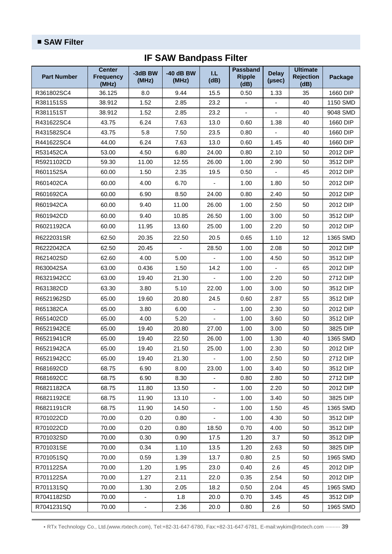| <b>Part Number</b> | <b>Center</b><br><b>Frequency</b><br>(MHz) | -3dB BW<br>(MHz) | $-40$ dB BW<br>(MHz) | I.L<br>(dB)                 | Passband<br><b>Ripple</b><br>(dB) | <b>Delay</b><br>(µsec)   | <b>Ultimate</b><br><b>Rejection</b><br>(dB) | <b>Package</b> |
|--------------------|--------------------------------------------|------------------|----------------------|-----------------------------|-----------------------------------|--------------------------|---------------------------------------------|----------------|
| R361802SC4         | 36.125                                     | 8.0              | 9.44                 | 15.5                        | 0.50                              | 1.33                     | 35                                          | 1660 DIP       |
| R381151SS          | 38.912                                     | 1.52             | 2.85                 | 23.2                        |                                   |                          | 40                                          | 1150 SMD       |
| R381151ST          | 38.912                                     | 1.52             | 2.85                 | 23.2                        | $\mathbf{r}$                      |                          | 40                                          | 9048 SMD       |
| R431622SC4         | 43.75                                      | 6.24             | 7.63                 | 13.0                        | 0.60                              | 1.38                     | 40                                          | 1660 DIP       |
| R431582SC4         | 43.75                                      | 5.8              | 7.50                 | 23.5                        | 0.80                              |                          | 40                                          | 1660 DIP       |
| R441622SC4         | 44.00                                      | 6.24             | 7.63                 | 13.0                        | 0.60                              | 1.45                     | 40                                          | 1660 DIP       |
| R531452CA          | 53.00                                      | 4.50             | 6.80                 | 24.00                       | 0.80                              | 2.10                     | 50                                          | 2012 DIP       |
| R5921102CD         | 59.30                                      | 11.00            | 12.55                | 26.00                       | 1.00                              | 2.90                     | 50                                          | 3512 DIP       |
| R601152SA          | 60.00                                      | 1.50             | 2.35                 | 19.5                        | 0.50                              |                          | 45                                          | 2012 DIP       |
| R601402CA          | 60.00                                      | 4.00             | 6.70                 |                             | 1.00                              | 1.80                     | 50                                          | 2012 DIP       |
| R601692CA          | 60.00                                      | 6.90             | 8.50                 | 24.00                       | 0.80                              | 2.40                     | 50                                          | 2012 DIP       |
| R601942CA          | 60.00                                      | 9.40             | 11.00                | 26.00                       | 1.00                              | 2.50                     | 50                                          | 2012 DIP       |
| R601942CD          | 60.00                                      | 9.40             | 10.85                | 26.50                       | 1.00                              | 3.00                     | 50                                          | 3512 DIP       |
| R6021192CA         | 60.00                                      | 11.95            | 13.60                | 25.00                       | 1.00                              | 2.20                     | 50                                          | 2012 DIP       |
| R6222031SR         | 62.50                                      | 20.35            | 22.50                | 20.5                        | 0.65                              | 1.10                     | 12                                          | 1365 SMD       |
| R6222042CA         | 62.50                                      | 20.45            | $\omega$             | 28.50                       | 1.00                              | 2.08                     | 50                                          | 2012 DIP       |
| R621402SD          | 62.60                                      | 4.00             | 5.00                 |                             | 1.00                              | 4.50                     | 50                                          | 3512 DIP       |
| R630042SA          | 63.00                                      | 0.436            | 1.50                 | 14.2                        | 1.00                              | $\overline{\phantom{a}}$ | 65                                          | 2012 DIP       |
| R6321942CC         | 63.00                                      | 19.40            | 21.30                |                             | 1.00                              | 2.20                     | 50                                          | 2712 DIP       |
| R631382CD          | 63.30                                      | 3.80             | 5.10                 | 22.00                       | 1.00                              | 3.00                     | 50                                          | 3512 DIP       |
| R6521962SD         | 65.00                                      | 19.60            | 20.80                | 24.5                        | 0.60                              | 2.87                     | 55                                          | 3512 DIP       |
| R651382CA          | 65.00                                      | 3.80             | 6.00                 | ÷,                          | 1.00                              | 2.30                     | 50                                          | 2012 DIP       |
| R651402CD          | 65.00                                      | 4.00             | 5.20                 | ä,                          | 1.00                              | 3.60                     | 50                                          | 3512 DIP       |
| R6521942CE         | 65.00                                      | 19.40            | 20.80                | 27.00                       | 1.00                              | 3.00                     | 50                                          | 3825 DIP       |
| R6521941CR         | 65.00                                      | 19.40            | 22.50                | 26.00                       | 1.00                              | 1.30                     | 40                                          | 1365 SMD       |
| R6521942CA         | 65.00                                      | 19.40            | 21.50                | 25.00                       | 1.00                              | 2.30                     | 50                                          | 2012 DIP       |
| R6521942CC         | 65.00                                      | 19.40            | 21.30                |                             | 1.00                              | 2.50                     | 50                                          | 2712 DIP       |
| R681692CD          | 68.75                                      | 6.90             | 8.00                 | 23.00                       | 1.00                              | 3.40                     | 50                                          | 3512 DIP       |
| R681692CC          | 68.75                                      | 6.90             | 8.30                 | $\blacksquare$              | 0.80                              | 2.80                     | 50                                          | 2712 DIP       |
| R6821182CA         | 68.75                                      | 11.80            | 13.50                |                             | 1.00                              | 2.20                     | 50                                          | 2012 DIP       |
| R6821192CE         | 68.75                                      | 11.90            | 13.10                | $\overline{\phantom{a}}$    | 1.00                              | 3.40                     | 50                                          | 3825 DIP       |
| R6821191CR         | 68.75                                      | 11.90            | 14.50                |                             | 1.00                              | 1.50                     | 45                                          | 1365 SMD       |
| R701022CD          | 70.00                                      | 0.20             | 0.80                 | $\mathcal{L}_{\mathcal{A}}$ | 1.00                              | 4.30                     | 50                                          | 3512 DIP       |
| R701022CD          | 70.00                                      | 0.20             | 0.80                 | 18.50                       | 0.70                              | 4.00                     | 50                                          | 3512 DIP       |
| R701032SD          | 70.00                                      | 0.30             | 0.90                 | 17.5                        | 1.20                              | 3.7                      | 50                                          | 3512 DIP       |
| R701031SE          | 70.00                                      | 0.34             | 1.10                 | 13.5                        | 1.20                              | 2.63                     | 50                                          | 3825 DIP       |
| R701051SQ          | 70.00                                      | 0.59             | 1.39                 | 13.7                        | 0.80                              | 2.5                      | 50                                          | 1965 SMD       |
| R701122SA          | 70.00                                      | 1.20             | 1.95                 | 23.0                        | 0.40                              | 2.6                      | 45                                          | 2012 DIP       |
| R701122SA          | 70.00                                      | 1.27             | 2.11                 | 22.0                        | 0.35                              | 2.54                     | 50                                          | 2012 DIP       |
| R701131SQ          | 70.00                                      | 1.30             | 2.05                 | 18.2                        | 0.50                              | 2.04                     | 45                                          | 1965 SMD       |
| R7041182SD         | 70.00                                      | $\blacksquare$   | 1.8                  | 20.0                        | 0.70                              | 3.45                     | 45                                          | 3512 DIP       |
| R7041231SQ         | 70.00                                      |                  | 2.36                 | 20.0                        | 0.80                              | 2.6                      | 50                                          | 1965 SMD       |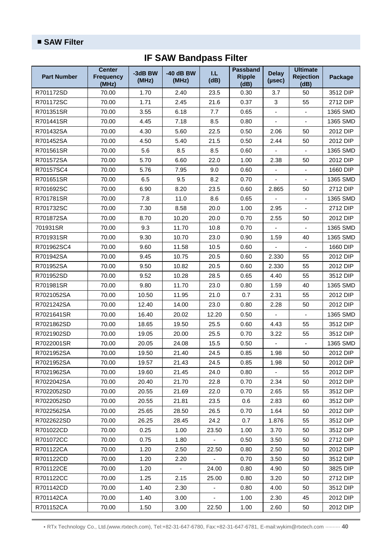#### ■ **SAW Filter**

## **IF SAW Bandpass Filter**

| <b>Part Number</b> | <b>Center</b><br><b>Frequency</b><br>(MHz) | -3dB BW<br>(MHz) | $-40$ dB BW<br>(MHz) | I.L<br>(dB)              | Passband<br><b>Ripple</b><br>(dB) | <b>Delay</b><br>(µsec)   | <b>Ultimate</b><br><b>Rejection</b><br>(dB) | <b>Package</b> |
|--------------------|--------------------------------------------|------------------|----------------------|--------------------------|-----------------------------------|--------------------------|---------------------------------------------|----------------|
| R701172SD          | 70.00                                      | 1.70             | 2.40                 | 23.5                     | 0.30                              | 3.7                      | 50                                          | 3512 DIP       |
| R701172SC          | 70.00                                      | 1.71             | 2.45                 | 21.6                     | 0.37                              | 3                        | 55                                          | 2712 DIP       |
| R701351SR          | 70.00                                      | 3.55             | 6.18                 | 7.7                      | 0.65                              |                          |                                             | 1365 SMD       |
| R701441SR          | 70.00                                      | 4.45             | 7.18                 | 8.5                      | 0.80                              | $\overline{\phantom{a}}$ | $\blacksquare$                              | 1365 SMD       |
| R701432SA          | 70.00                                      | 4.30             | 5.60                 | 22.5                     | 0.50                              | 2.06                     | 50                                          | 2012 DIP       |
| R701452SA          | 70.00                                      | 4.50             | 5.40                 | 21.5                     | 0.50                              | 2.44                     | 50                                          | 2012 DIP       |
| R701561SR          | 70.00                                      | 5.6              | 8.5                  | 8.5                      | 0.60                              |                          | $\blacksquare$                              | 1365 SMD       |
| R701572SA          | 70.00                                      | 5.70             | 6.60                 | 22.0                     | 1.00                              | 2.38                     | 50                                          | 2012 DIP       |
| R70157SC4          | 70.00                                      | 5.76             | 7.95                 | 9.0                      | 0.60                              | ä,                       | $\blacksquare$                              | 1660 DIP       |
| R701651SR          | 70.00                                      | 6.5              | 9.5                  | 8.2                      | 0.70                              |                          | ÷.                                          | 1365 SMD       |
| R701692SC          | 70.00                                      | 6.90             | 8.20                 | 23.5                     | 0.60                              | 2.865                    | 50                                          | 2712 DIP       |
| R701781SR          | 70.00                                      | 7.8              | 11.0                 | 8.6                      | 0.65                              |                          | $\blacksquare$                              | 1365 SMD       |
| R701732SC          | 70.00                                      | 7.30             | 8.58                 | 20.0                     | 1.00                              | 2.95                     | $\overline{\phantom{a}}$                    | 2712 DIP       |
| R701872SA          | 70.00                                      | 8.70             | 10.20                | 20.0                     | 0.70                              | 2.55                     | 50                                          | 2012 DIP       |
| 701931SR           | 70.00                                      | 9.3              | 11.70                | 10.8                     | 0.70                              |                          | $\blacksquare$                              | 1365 SMD       |
| R701931SR          | 70.00                                      | 9.30             | 10.70                | 23.0                     | 0.90                              | 1.59                     | 40                                          | 1365 SMD       |
| R701962SC4         | 70.00                                      | 9.60             | 11.58                | 10.5                     | 0.60                              |                          | $\blacksquare$                              | 1660 DIP       |
| R701942SA          | 70.00                                      | 9.45             | 10.75                | 20.5                     | 0.60                              | 2.330                    | 55                                          | 2012 DIP       |
| R701952SA          | 70.00                                      | 9.50             | 10.82                | 20.5                     | 0.60                              | 2.330                    | 55                                          | 2012 DIP       |
| R701952SD          | 70.00                                      | 9.52             | 10.28                | 28.5                     | 0.65                              | 4.40                     | 55                                          | 3512 DIP       |
| R701981SR          | 70.00                                      | 9.80             | 11.70                | 23.0                     | 0.80                              | 1.59                     | 40                                          | 1365 SMD       |
| R7021052SA         | 70.00                                      | 10.50            | 11.95                | 21.0                     | 0.7                               | 2.31                     | 55                                          | 2012 DIP       |
| R7021242SA         | 70.00                                      | 12.40            | 14.00                | 23.0                     | 0.80                              | 2.28                     | 50                                          | 2012 DIP       |
| R7021641SR         | 70.00                                      | 16.40            | 20.02                | 12.20                    | 0.50                              |                          | $\blacksquare$                              | 1365 SMD       |
| R7021862SD         | 70.00                                      | 18.65            | 19.50                | 25.5                     | 0.60                              | 4.43                     | 55                                          | 3512 DIP       |
| R7021902SD         | 70.00                                      | 19.05            | 20.00                | 25.5                     | 0.70                              | 3.22                     | 55                                          | 3512 DIP       |
| R7022001SR         | 70.00                                      | 20.05            | 24.08                | 15.5                     | 0.50                              | $\overline{a}$           | $\blacksquare$                              | 1365 SMD       |
| R7021952SA         | 70.00                                      | 19.50            | 21.40                | 24.5                     | 0.85                              | 1.98                     | 50                                          | 2012 DIP       |
| R7021952SA         | 70.00                                      | 19.57            | 21.43                | 24.5                     | 0.85                              | 1.98                     | 50                                          | 2012 DIP       |
| R7021962SA         | 70.00                                      | 19.60            | 21.45                | 24.0                     | 0.80                              |                          | 55                                          | 2012 DIP       |
| R7022042SA         | 70.00                                      | 20.40            | 21.70                | 22.8                     | 0.70                              | 2.34                     | 50                                          | 2012 DIP       |
| R7022052SD         | 70.00                                      | 20.55            | 21.69                | 22.0                     | 0.70                              | 2.65                     | 55                                          | 3512 DIP       |
| R7022052SD         | 70.00                                      | 20.55            | 21.81                | 23.5                     | 0.6                               | 2.83                     | 60                                          | 3512 DIP       |
| R7022562SA         | 70.00                                      | 25.65            | 28.50                | 26.5                     | 0.70                              | 1.64                     | 50                                          | 2012 DIP       |
| R7022622SD         | 70.00                                      | 26.25            | 28.45                | 24.2                     | 0.7                               | 1.876                    | 55                                          | 3512 DIP       |
| R701022CD          | 70.00                                      | 0.25             | 1.00                 | 23.50                    | 1.00                              | 3.70                     | 50                                          | 3512 DIP       |
| R701072CC          | 70.00                                      | 0.75             | 1.80                 |                          | 0.50                              | 3.50                     | 50                                          | 2712 DIP       |
| R701122CA          | 70.00                                      | 1.20             | 2.50                 | 22.50                    | 0.80                              | 2.50                     | 50                                          | 2012 DIP       |
| R701122CD          | 70.00                                      | 1.20             | 2.20                 |                          | 0.70                              | 3.50                     | 50                                          | 3512 DIP       |
| R701122CE          | 70.00                                      | 1.20             | $\blacksquare$       | 24.00                    | 0.80                              | 4.90                     | 50                                          | 3825 DIP       |
| R701122CC          | 70.00                                      | 1.25             | 2.15                 | 25.00                    | 0.80                              | 3.20                     | 50                                          | 2712 DIP       |
| R701142CD          | 70.00                                      | 1.40             | 2.30                 | $\overline{\phantom{a}}$ | 0.80                              | 4.00                     | 50                                          | 3512 DIP       |
| R701142CA          | 70.00                                      | 1.40             | 3.00                 |                          | 1.00                              | 2.30                     | 45                                          | 2012 DIP       |
| R701152CA          | 70.00                                      | 1.50             | 3.00                 | 22.50                    | 1.00                              | 2.60                     | 50                                          | 2012 DIP       |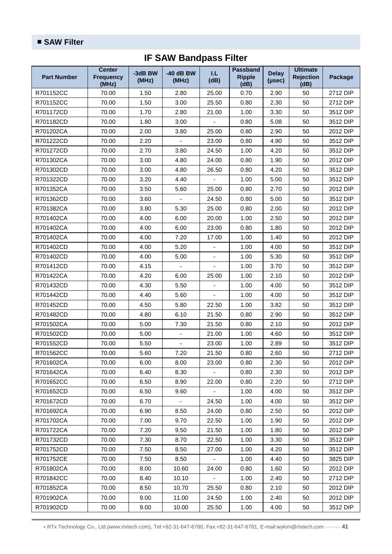| <b>Part Number</b> | <b>Center</b><br><b>Frequency</b><br>(MHz) | -3dB BW<br>(MHz) | $-40$ dB BW<br>(MHz) | I.L<br>(dB) | Passband<br><b>Ripple</b><br>(dB) | <b>Delay</b><br>(µsec) | <b>Ultimate</b><br><b>Rejection</b><br>(dB) | Package  |
|--------------------|--------------------------------------------|------------------|----------------------|-------------|-----------------------------------|------------------------|---------------------------------------------|----------|
| R701152CC          | 70.00                                      | 1.50             | 2.80                 | 25.00       | 0.70                              | 2.90                   | 50                                          | 2712 DIP |
| R701152CC          | 70.00                                      | 1.50             | 3.00                 | 25.50       | 0.80                              | 2.30                   | 50                                          | 2712 DIP |
| R701172CD          | 70.00                                      | 1.70             | 2.80                 | 21.00       | 1.00                              | 3.30                   | 50                                          | 3512 DIP |
| R701182CD          | 70.00                                      | 1.80             | 3.00                 | ÷,          | 0.80                              | 5.08                   | 50                                          | 3512 DIP |
| R701202CA          | 70.00                                      | 2.00             | 3.80                 | 25.00       | 0.80                              | 2.90                   | 50                                          | 2012 DIP |
| R701222CD          | 70.00                                      | 2.20             |                      | 23.00       | 0.80                              | 4.90                   | 50                                          | 3512 DIP |
| R701272CD          | 70.00                                      | 2.70             | 3.80                 | 24.50       | 1.00                              | 4.20                   | 50                                          | 3512 DIP |
| R701302CA          | 70.00                                      | 3.00             | 4.80                 | 24.00       | 0.80                              | 1.90                   | 50                                          | 2012 DIP |
| R701302CD          | 70.00                                      | 3.00             | 4.80                 | 26.50       | 0.80                              | 4.20                   | 50                                          | 3512 DIP |
| R701322CD          | 70.00                                      | 3.20             | 4.40                 |             | 1.00                              | 5.00                   | 50                                          | 3512 DIP |
| R701352CA          | 70.00                                      | 3.50             | 5.60                 | 25.00       | 0.80                              | 2.70                   | 50                                          | 2012 DIP |
| R701362CD          | 70.00                                      | 3.60             |                      | 24.50       | 0.80                              | 5.00                   | 50                                          | 3512 DIP |
| R701382CA          | 70.00                                      | 3.80             | 5.30                 | 25.00       | 0.80                              | 2.00                   | 50                                          | 2012 DIP |
| R701402CA          | 70.00                                      | 4.00             | 6.00                 | 20.00       | 1.00                              | 2.50                   | 50                                          | 2012 DIP |
| R701402CA          | 70.00                                      | 4.00             | 6.00                 | 23.00       | 0.80                              | 1.80                   | 50                                          | 2012 DIP |
| R701402CA          | 70.00                                      | 4.00             | 7.20                 | 17.00       | 1.00                              | 1.40                   | 50                                          | 2012 DIP |
| R701402CD          | 70.00                                      | 4.00             | 5.20                 | ÷,          | 1.00                              | 4.00                   | 50                                          | 3512 DIP |
| R701402CD          | 70.00                                      | 4.00             | 5.00                 | ÷,          | 1.00                              | 5.30                   | 50                                          | 3512 DIP |
| R701412CD          | 70.00                                      | 4.15             |                      |             | 1.00                              | 3.70                   | 50                                          | 3512 DIP |
| R701422CA          | 70.00                                      | 4.20             | 6.00                 | 25.00       | 1.00                              | 2.10                   | 50                                          | 2012 DIP |
| R701432CD          | 70.00                                      | 4.30             | 5.50                 |             | 1.00                              | 4.00                   | 50                                          | 3512 DIP |
| R701442CD          | 70.00                                      | 4.40             | 5.60                 | L           | 1.00                              | 4.00                   | 50                                          | 3512 DIP |
| R701452CD          | 70.00                                      | 4.50             | 5.80                 | 22.50       | 1.00                              | 3.82                   | 50                                          | 3512 DIP |
| R701482CD          | 70.00                                      | 4.80             | 6.10                 | 21.50       | 0.80                              | 2.90                   | 50                                          | 3512 DIP |
| R701502CA          | 70.00                                      | 5.00             | 7.30                 | 21.50       | 0.80                              | 2.10                   | 50                                          | 2012 DIP |
| R701502CD          | 70.00                                      | 5.00             |                      | 21.00       | 1.00                              | 4.60                   | 50                                          | 3512 DIP |
| R701552CD          | 70.00                                      | 5.50             |                      | 23.00       | 1.00                              | 2.89                   | 50                                          | 3512 DIP |
| R701562CC          | 70.00                                      | 5.60             | 7.20                 | 21.50       | 0.80                              | 2.60                   | 50                                          | 2712 DIP |
| R701602CA          | 70.00                                      | 6.00             | 8.00                 | 23.00       | 0.80                              | 2.30                   | 50                                          | 2012 DIP |
| R701642CA          | 70.00                                      | 6.40             | 8.30                 |             | 0.80                              | 2.30                   | 50                                          | 2012 DIP |
| R701652CC          | 70.00                                      | 6.50             | 8.90                 | 22.00       | 0.80                              | 2.20                   | 50                                          | 2712 DIP |
| R701652CD          | 70.00                                      | 6.50             | 9.60                 |             | 1.00                              | 4.00                   | 50                                          | 3512 DIP |
| R701672CD          | 70.00                                      | 6.70             | $\blacksquare$       | 24.50       | 1.00                              | 4.00                   | 50                                          | 3512 DIP |
| R701692CA          | 70.00                                      | 6.90             | 8.50                 | 24.00       | 0.80                              | 2.50                   | 50                                          | 2012 DIP |
| R701702CA          | 70.00                                      | 7.00             | 9.70                 | 22.50       | 1.00                              | 1.90                   | 50                                          | 2012 DIP |
| R701722CA          | 70.00                                      | 7.20             | 9.50                 | 21.50       | 1.00                              | 1.80                   | 50                                          | 2012 DIP |
| R701732CD          | 70.00                                      | 7.30             | 8.70                 | 22.50       | 1.00                              | 3.30                   | 50                                          | 3512 DIP |
| R701752CD          | 70.00                                      | 7.50             | 8.50                 | 27.00       | 1.00                              | 4.20                   | 50                                          | 3512 DIP |
| R701752CE          | 70.00                                      | 7.50             | 8.50                 |             | 1.00                              | 4.40                   | 50                                          | 3825 DIP |
| R701802CA          | 70.00                                      | 8.00             | 10.60                | 24.00       | 0.80                              | 1.60                   | 50                                          | 2012 DIP |
| R701842CC          | 70.00                                      | 8.40             | 10.10                |             | 1.00                              | 2.40                   | 50                                          | 2712 DIP |
| R701852CA          | 70.00                                      | 8.50             | 10.70                | 25.50       | 0.80                              | 2.10                   | 50                                          | 2012 DIP |
| R701902CA          | 70.00                                      | 9.00             | 11.00                | 24.50       | 1.00                              | 2.40                   | 50                                          | 2012 DIP |
| R701902CD          | 70.00                                      | 9.00             | 10.00                | 25.50       | 1.00                              | 4.00                   | 50                                          | 3512 DIP |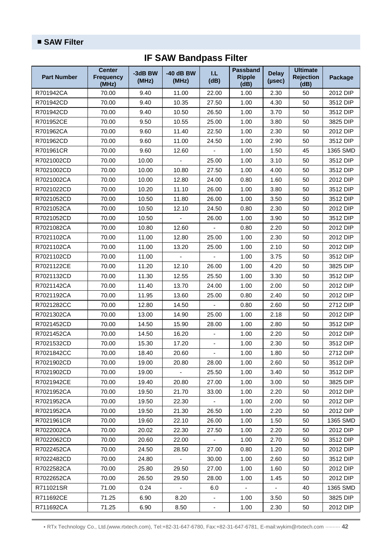| <b>Part Number</b> | <b>Center</b><br><b>Frequency</b><br>(MHz) | -3dB BW<br>(MHz) | $-40$ dB BW<br>(MHz) | I.L<br>(dB)              | <b>Passband</b><br><b>Ripple</b><br>(dB) | <b>Delay</b><br>(µsec)   | <b>Ultimate</b><br><b>Rejection</b><br>(dB) | Package  |
|--------------------|--------------------------------------------|------------------|----------------------|--------------------------|------------------------------------------|--------------------------|---------------------------------------------|----------|
| R701942CA          | 70.00                                      | 9.40             | 11.00                | 22.00                    | 1.00                                     | 2.30                     | 50                                          | 2012 DIP |
| R701942CD          | 70.00                                      | 9.40             | 10.35                | 27.50                    | 1.00                                     | 4.30                     | 50                                          | 3512 DIP |
| R701942CD          | 70.00                                      | 9.40             | 10.50                | 26.50                    | 1.00                                     | 3.70                     | 50                                          | 3512 DIP |
| R701952CE          | 70.00                                      | 9.50             | 10.55                | 25.00                    | 1.00                                     | 3.80                     | 50                                          | 3825 DIP |
| R701962CA          | 70.00                                      | 9.60             | 11.40                | 22.50                    | 1.00                                     | 2.30                     | 50                                          | 2012 DIP |
| R701962CD          | 70.00                                      | 9.60             | 11.00                | 24.50                    | 1.00                                     | 2.90                     | 50                                          | 3512 DIP |
| R701961CR          | 70.00                                      | 9.60             | 12.60                |                          | 1.00                                     | 1.50                     | 45                                          | 1365 SMD |
| R7021002CD         | 70.00                                      | 10.00            |                      | 25.00                    | 1.00                                     | 3.10                     | 50                                          | 3512 DIP |
| R7021002CD         | 70.00                                      | 10.00            | 10.80                | 27.50                    | 1.00                                     | 4.00                     | 50                                          | 3512 DIP |
| R7021002CA         | 70.00                                      | 10.00            | 12.80                | 24.00                    | 0.80                                     | 1.60                     | 50                                          | 2012 DIP |
| R7021022CD         | 70.00                                      | 10.20            | 11.10                | 26.00                    | 1.00                                     | 3.80                     | 50                                          | 3512 DIP |
| R7021052CD         | 70.00                                      | 10.50            | 11.80                | 26.00                    | 1.00                                     | 3.50                     | 50                                          | 3512 DIP |
| R7021052CA         | 70.00                                      | 10.50            | 12.10                | 24.50                    | 0.80                                     | 2.30                     | 50                                          | 2012 DIP |
| R7021052CD         | 70.00                                      | 10.50            |                      | 26.00                    | 1.00                                     | 3.90                     | 50                                          | 3512 DIP |
| R7021082CA         | 70.00                                      | 10.80            | 12.60                |                          | 0.80                                     | 2.20                     | 50                                          | 2012 DIP |
| R7021102CA         | 70.00                                      | 11.00            | 12.80                | 25.00                    | 1.00                                     | 2.30                     | 50                                          | 2012 DIP |
| R7021102CA         | 70.00                                      | 11.00            | 13.20                | 25.00                    | 1.00                                     | 2.10                     | 50                                          | 2012 DIP |
| R7021102CD         | 70.00                                      | 11.00            |                      | $\overline{a}$           | 1.00                                     | 3.75                     | 50                                          | 3512 DIP |
| R7021122CE         | 70.00                                      | 11.20            | 12.10                | 26.00                    | 1.00                                     | 4.20                     | 50                                          | 3825 DIP |
| R7021132CD         | 70.00                                      | 11.30            | 12.55                | 25.50                    | 1.00                                     | 3.30                     | 50                                          | 3512 DIP |
| R7021142CA         | 70.00                                      | 11.40            | 13.70                | 24.00                    | 1.00                                     | 2.00                     | 50                                          | 2012 DIP |
| R7021192CA         | 70.00                                      | 11.95            | 13.60                | 25.00                    | 0.80                                     | 2.40                     | 50                                          | 2012 DIP |
| R7021282CC         | 70.00                                      | 12.80            | 14.50                |                          | 0.80                                     | 2.60                     | 50                                          | 2712 DIP |
| R7021302CA         | 70.00                                      | 13.00            | 14.90                | 25.00                    | 1.00                                     | 2.18                     | 50                                          | 2012 DIP |
| R7021452CD         | 70.00                                      | 14.50            | 15.90                | 28.00                    | 1.00                                     | 2.80                     | 50                                          | 3512 DIP |
| R7021452CA         | 70.00                                      | 14.50            | 16.20                | ٠                        | 1.00                                     | 2.20                     | 50                                          | 2012 DIP |
| R7021532CD         | 70.00                                      | 15.30            | 17.20                | ÷,                       | 1.00                                     | 2.30                     | 50                                          | 3512 DIP |
| R7021842CC         | 70.00                                      | 18.40            | 20.60                | -                        | 1.00                                     | 1.80                     | 50                                          | 2712 DIP |
| R7021902CD         | 70.00                                      | 19.00            | 20.80                | 28.00                    | 1.00                                     | 2.60                     | 50                                          | 3512 DIP |
| R7021902CD         | 70.00                                      | 19.00            |                      | 25.50                    | 1.00                                     | 3.40                     | 50                                          | 3512 DIP |
| R7021942CE         | 70.00                                      | 19.40            | 20.80                | 27.00                    | 1.00                                     | 3.00                     | 50                                          | 3825 DIP |
| R7021952CA         | 70.00                                      | 19.50            | 21.70                | 33.00                    | 1.00                                     | 2.20                     | 50                                          | 2012 DIP |
| R7021952CA         | 70.00                                      | 19.50            | 22.30                | $\overline{\phantom{a}}$ | 1.00                                     | 2.00                     | 50                                          | 2012 DIP |
| R7021952CA         | 70.00                                      | 19.50            | 21.30                | 26.50                    | 1.00                                     | 2.20                     | 50                                          | 2012 DIP |
| R7021961CR         | 70.00                                      | 19.60            | 22.10                | 26.00                    | 1.00                                     | 1.50                     | 50                                          | 1365 SMD |
| R7022002CA         | 70.00                                      | 20.02            | 22.30                | 27.50                    | 1.00                                     | 2.20                     | 50                                          | 2012 DIP |
| R7022062CD         | 70.00                                      | 20.60            | 22.00                |                          | 1.00                                     | 2.70                     | 50                                          | 3512 DIP |
| R7022452CA         | 70.00                                      | 24.50            | 28.50                | 27.00                    | 0.80                                     | 1.20                     | 50                                          | 2012 DIP |
| R7022482CD         | 70.00                                      | 24.80            |                      | 30.00                    | 1.00                                     | 2.60                     | 50                                          | 3512 DIP |
| R7022582CA         | 70.00                                      | 25.80            | 29.50                | 27.00                    | 1.00                                     | 1.60                     | 50                                          | 2012 DIP |
| R7022652CA         | 70.00                                      | 26.50            | 29.50                | 28.00                    | 1.00                                     | 1.45                     | 50                                          | 2012 DIP |
| R711021SR          | 71.00                                      | 0.24             | $\blacksquare$       | 6.0                      | $\blacksquare$                           | $\overline{\phantom{a}}$ | 40                                          | 1365 SMD |
| R711692CE          | 71.25                                      | 6.90             | 8.20                 |                          | 1.00                                     | 3.50                     | 50                                          | 3825 DIP |
| R711692CA          | 71.25                                      | 6.90             | 8.50                 | $\overline{\phantom{a}}$ | 1.00                                     | 2.30                     | 50                                          | 2012 DIP |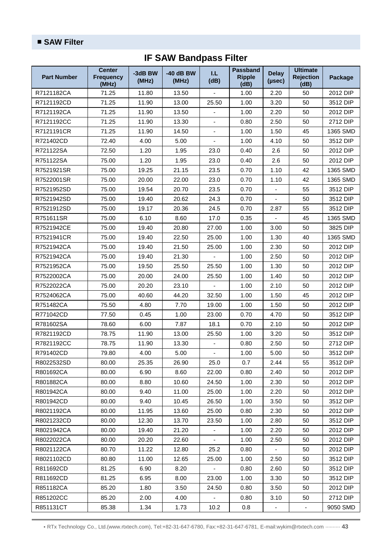| <b>Part Number</b> | <b>Center</b><br><b>Frequency</b><br>(MHz) | -3dB BW<br>(MHz) | $-40$ dB BW<br>(MHz) | I.L<br>(dB)    | <b>Passband</b><br><b>Ripple</b><br>(dB) | <b>Delay</b><br>(µsec)   | <b>Ultimate</b><br><b>Rejection</b><br>(dB) | Package  |
|--------------------|--------------------------------------------|------------------|----------------------|----------------|------------------------------------------|--------------------------|---------------------------------------------|----------|
| R7121182CA         | 71.25                                      | 11.80            | 13.50                |                | 1.00                                     | 2.20                     | 50                                          | 2012 DIP |
| R7121192CD         | 71.25                                      | 11.90            | 13.00                | 25.50          | 1.00                                     | 3.20                     | 50                                          | 3512 DIP |
| R7121192CA         | 71.25                                      | 11.90            | 13.50                |                | 1.00                                     | 2.20                     | 50                                          | 2012 DIP |
| R7121192CC         | 71.25                                      | 11.90            | 13.30                | ä,             | 0.80                                     | 2.50                     | 50                                          | 2712 DIP |
| R7121191CR         | 71.25                                      | 11.90            | 14.50                |                | 1.00                                     | 1.50                     | 45                                          | 1365 SMD |
| R721402CD          | 72.40                                      | 4.00             | 5.00                 | ä,             | 1.00                                     | 4.10                     | 50                                          | 3512 DIP |
| R721122SA          | 72.50                                      | 1.20             | 1.95                 | 23.0           | 0.40                                     | 2.6                      | 50                                          | 2012 DIP |
| R751122SA          | 75.00                                      | 1.20             | 1.95                 | 23.0           | 0.40                                     | 2.6                      | 50                                          | 2012 DIP |
| R7521921SR         | 75.00                                      | 19.25            | 21.15                | 23.5           | 0.70                                     | 1.10                     | 42                                          | 1365 SMD |
| R7522001SR         | 75.00                                      | 20.00            | 22.00                | 23.0           | 0.70                                     | 1.10                     | 42                                          | 1365 SMD |
| R7521952SD         | 75.00                                      | 19.54            | 20.70                | 23.5           | 0.70                                     | ä,                       | 55                                          | 3512 DIP |
| R7521942SD         | 75.00                                      | 19.40            | 20.62                | 24.3           | 0.70                                     |                          | 50                                          | 3512 DIP |
| R7521912SD         | 75.00                                      | 19.17            | 20.36                | 24.5           | 0.70                                     | 2.87                     | 55                                          | 3512 DIP |
| R751611SR          | 75.00                                      | 6.10             | 8.60                 | 17.0           | 0.35                                     |                          | 45                                          | 1365 SMD |
| R7521942CE         | 75.00                                      | 19.40            | 20.80                | 27.00          | 1.00                                     | 3.00                     | 50                                          | 3825 DIP |
| R7521941CR         | 75.00                                      | 19.40            | 22.50                | 25.00          | 1.00                                     | 1.30                     | 40                                          | 1365 SMD |
| R7521942CA         | 75.00                                      | 19.40            | 21.50                | 25.00          | 1.00                                     | 2.30                     | 50                                          | 2012 DIP |
| R7521942CA         | 75.00                                      | 19.40            | 21.30                |                | 1.00                                     | 2.50                     | 50                                          | 2012 DIP |
| R7521952CA         | 75.00                                      | 19.50            | 25.50                | 25.50          | 1.00                                     | 1.30                     | 50                                          | 2012 DIP |
| R7522002CA         | 75.00                                      | 20.00            | 24.00                | 25.50          | 1.00                                     | 1.40                     | 50                                          | 2012 DIP |
| R7522022CA         | 75.00                                      | 20.20            | 23.10                |                | 1.00                                     | 2.10                     | 50                                          | 2012 DIP |
| R7524062CA         | 75.00                                      | 40.60            | 44.20                | 32.50          | 1.00                                     | 1.50                     | 45                                          | 2012 DIP |
| R751482CA          | 75.50                                      | 4.80             | 7.70                 | 19.00          | 1.00                                     | 1.50                     | 50                                          | 2012 DIP |
| R771042CD          | 77.50                                      | 0.45             | 1.00                 | 23.00          | 0.70                                     | 4.70                     | 50                                          | 3512 DIP |
| R781602SA          | 78.60                                      | 6.00             | 7.87                 | 18.1           | 0.70                                     | 2.10                     | 50                                          | 2012 DIP |
| R7821192CD         | 78.75                                      | 11.90            | 13.00                | 25.50          | 1.00                                     | 3.20                     | 50                                          | 3512 DIP |
| R7821192CC         | 78.75                                      | 11.90            | 13.30                | ÷,             | 0.80                                     | 2.50                     | 50                                          | 2712 DIP |
| R791402CD          | 79.80                                      | 4.00             | 5.00                 | $\blacksquare$ | 1.00                                     | 5.00                     | 50                                          | 3512 DIP |
| R8022532SD         | 80.00                                      | 25.35            | 26.90                | 25.0           | 0.7                                      | 2.44                     | 55                                          | 3512 DIP |
| R801692CA          | 80.00                                      | 6.90             | 8.60                 | 22.00          | 0.80                                     | 2.40                     | 50                                          | 2012 DIP |
| R801882CA          | 80.00                                      | 8.80             | 10.60                | 24.50          | 1.00                                     | 2.30                     | 50                                          | 2012 DIP |
| R801942CA          | 80.00                                      | 9.40             | 11.00                | 25.00          | 1.00                                     | 2.20                     | 50                                          | 2012 DIP |
| R801942CD          | 80.00                                      | 9.40             | 10.45                | 26.50          | 1.00                                     | 3.50                     | 50                                          | 3512 DIP |
| R8021192CA         | 80.00                                      | 11.95            | 13.60                | 25.00          | 0.80                                     | 2.30                     | 50                                          | 2012 DIP |
| R8021232CD         | 80.00                                      | 12.30            | 13.70                | 23.50          | 1.00                                     | 2.80                     | 50                                          | 3512 DIP |
| R8021942CA         | 80.00                                      | 19.40            | 21.20                |                | 1.00                                     | 2.20                     | 50                                          | 2012 DIP |
| R8022022CA         | 80.00                                      | 20.20            | 22.60                |                | 1.00                                     | 2.50                     | 50                                          | 2012 DIP |
| R8021122CA         | 80.70                                      | 11.22            | 12.80                | 25.2           | 0.80                                     |                          | 50                                          | 2012 DIP |
| R8021102CD         | 80.80                                      | 11.00            | 12.65                | 25.00          | 1.00                                     | 2.50                     | 50                                          | 3512 DIP |
| R811692CD          | 81.25                                      | 6.90             | 8.20                 | $\blacksquare$ | 0.80                                     | 2.60                     | 50                                          | 3512 DIP |
| R811692CD          | 81.25                                      | 6.95             | 8.00                 | 23.00          | 1.00                                     | 3.30                     | 50                                          | 3512 DIP |
| R851182CA          | 85.20                                      | 1.80             | 3.50                 | 24.50          | 0.80                                     | 3.50                     | 50                                          | 2012 DIP |
| R851202CC          | 85.20                                      | 2.00             | 4.00                 |                | 0.80                                     | 3.10                     | 50                                          | 2712 DIP |
| R851131CT          | 85.38                                      | 1.34             | 1.73                 | 10.2           | 0.8                                      | $\overline{\phantom{a}}$ | $\overline{\phantom{a}}$                    | 9050 SMD |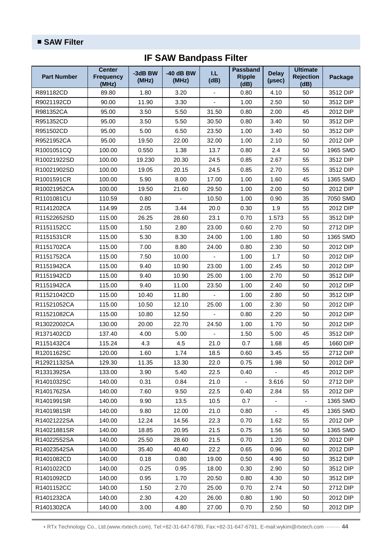| <b>Part Number</b> | <b>Center</b><br><b>Frequency</b><br>(MHz) | -3dB BW<br>(MHz) | $-40$ dB BW<br>(MHz) | I.L<br>(dB)              | <b>Passband</b><br><b>Ripple</b><br>(dB) | <b>Delay</b><br>(µsec) | <b>Ultimate</b><br><b>Rejection</b><br>(dB) | Package  |
|--------------------|--------------------------------------------|------------------|----------------------|--------------------------|------------------------------------------|------------------------|---------------------------------------------|----------|
| R891182CD          | 89.80                                      | 1.80             | 3.20                 |                          | 0.80                                     | 4.10                   | 50                                          | 3512 DIP |
| R9021192CD         | 90.00                                      | 11.90            | 3.30                 | $\overline{\phantom{a}}$ | 1.00                                     | 2.50                   | 50                                          | 3512 DIP |
| R981352CA          | 95.00                                      | 3.50             | 5.50                 | 31.50                    | 0.80                                     | 2.00                   | 45                                          | 2012 DIP |
| R951352CD          | 95.00                                      | 3.50             | 5.50                 | 30.50                    | 0.80                                     | 3.40                   | 50                                          | 3512 DIP |
| R951502CD          | 95.00                                      | 5.00             | 6.50                 | 23.50                    | 1.00                                     | 3.40                   | 50                                          | 3512 DIP |
| R9521952CA         | 95.00                                      | 19.50            | 22.00                | 32.00                    | 1.00                                     | 2.10                   | 50                                          | 2012 DIP |
| R1001051CQ         | 100.00                                     | 0.550            | 1.38                 | 13.7                     | 0.80                                     | 2.4                    | 50                                          | 1965 SMD |
| R10021922SD        | 100.00                                     | 19.230           | 20.30                | 24.5                     | 0.85                                     | 2.67                   | 55                                          | 3512 DIP |
| R10021902SD        | 100.00                                     | 19.05            | 20.15                | 24.5                     | 0.85                                     | 2.70                   | 55                                          | 3512 DIP |
| R1001591CR         | 100.00                                     | 5.90             | 8.00                 | 17.00                    | 1.00                                     | 1.60                   | 45                                          | 1365 SMD |
| R10021952CA        | 100.00                                     | 19.50            | 21.60                | 29.50                    | 1.00                                     | 2.00                   | 50                                          | 2012 DIP |
| R1101081CU         | 110.59                                     | 0.80             |                      | 10.50                    | 1.00                                     | 0.90                   | 35                                          | 7050 SMD |
| R1141202CA         | 114.99                                     | 2.05             | 3.44                 | 20.0                     | 0.30                                     | 1.9                    | 55                                          | 2012 DIP |
| R11522652SD        | 115.00                                     | 26.25            | 28.60                | 23.1                     | 0.70                                     | 1.573                  | 55                                          | 3512 DIP |
| R1151152CC         | 115.00                                     | 1.50             | 2.80                 | 23.00                    | 0.60                                     | 2.70                   | 50                                          | 2712 DIP |
| R1151531CR         | 115.00                                     | 5.30             | 8.30                 | 24.00                    | 1.00                                     | 1.80                   | 50                                          | 1365 SMD |
| R1151702CA         | 115.00                                     | 7.00             | 8.80                 | 24.00                    | 0.80                                     | 2.30                   | 50                                          | 2012 DIP |
| R1151752CA         | 115.00                                     | 7.50             | 10.00                |                          | 1.00                                     | 1.7                    | 50                                          | 2012 DIP |
| R1151942CA         | 115.00                                     | 9.40             | 10.90                | 23.00                    | 1.00                                     | 2.45                   | 50                                          | 2012 DIP |
| R1151942CD         | 115.00                                     | 9.40             | 10.90                | 25.00                    | 1.00                                     | 2.70                   | 50                                          | 3512 DIP |
| R1151942CA         | 115.00                                     | 9.40             | 11.00                | 23.50                    | 1.00                                     | 2.40                   | 50                                          | 2012 DIP |
| R11521042CD        | 115.00                                     | 10.40            | 11.80                | ÷,                       | 1.00                                     | 2.80                   | 50                                          | 3512 DIP |
| R11521052CA        | 115.00                                     | 10.50            | 12.10                | 25.00                    | 1.00                                     | 2.30                   | 50                                          | 2012 DIP |
| R11521082CA        | 115.00                                     | 10.80            | 12.50                |                          | 0.80                                     | 2.20                   | 50                                          | 2012 DIP |
| R13022002CA        | 130.00                                     | 20.00            | 22.70                | 24.50                    | 1.00                                     | 1.70                   | 50                                          | 2012 DIP |
| R1371402CD         | 137.40                                     | 4.00             | 5.00                 |                          | 1.50                                     | 5.00                   | 45                                          | 3512 DIP |
| R1151432C4         | 115.24                                     | 4.3              | 4.5                  | 21.0                     | 0.7                                      | 1.68                   | 45                                          | 1660 DIP |
| R1201162SC         | 120.00                                     | 1.60             | 1.74                 | 18.5                     | 0.60                                     | 3.45                   | 55                                          | 2712 DIP |
| R12921132SA        | 129.30                                     | 11.35            | 13.30                | 22.0                     | 0.75                                     | 1.98                   | 50                                          | 2012 DIP |
| R1331392SA         | 133.00                                     | 3.90             | 5.40                 | 22.5                     | 0.40                                     |                        | 45                                          | 2012 DIP |
| R1401032SC         | 140.00                                     | 0.31             | 0.84                 | 21.0                     |                                          | 3.616                  | 50                                          | 2712 DIP |
| R1401762SA         | 140.00                                     | 7.60             | 9.50                 | 22.5                     | 0.40                                     | 2.84                   | 55                                          | 2012 DIP |
| R1401991SR         | 140.00                                     | 9.90             | 13.5                 | 10.5                     | 0.7                                      | ۰                      | ۰.                                          | 1365 SMD |
| R1401981SR         | 140.00                                     | 9.80             | 12.00                | 21.0                     | 0.80                                     | ÷,                     | 45                                          | 1365 SMD |
| R14021222SA        | 140.00                                     | 12.24            | 14.56                | 22.3                     | 0.70                                     | 1.62                   | 55                                          | 2012 DIP |
| R14021881SR        | 140.00                                     | 18.85            | 20.95                | 21.5                     | 0.75                                     | 1.56                   | 50                                          | 1365 SMD |
| R14022552SA        | 140.00                                     | 25.50            | 28.60                | 21.5                     | 0.70                                     | 1.20                   | 50                                          | 2012 DIP |
| R14023542SA        | 140.00                                     | 35.40            | 40.40                | 22.2                     | 0.65                                     | 0.96                   | 60                                          | 2012 DIP |
| R1401082CD         | 140.00                                     | 0.18             | 0.80                 | 19.00                    | 0.50                                     | 4.90                   | 50                                          | 3512 DIP |
| R1401022CD         | 140.00                                     | 0.25             | 0.95                 | 18.00                    | 0.30                                     | 2.90                   | 50                                          | 3512 DIP |
| R1401092CD         | 140.00                                     | 0.95             | 1.70                 | 20.50                    | 0.80                                     | 4.30                   | 50                                          | 3512 DIP |
| R1401152CC         | 140.00                                     | 1.50             | 2.70                 | 25.00                    | 0.70                                     | 2.74                   | 50                                          | 2712 DIP |
| R1401232CA         | 140.00                                     | 2.30             | 4.20                 | 26.00                    | 0.80                                     | 1.90                   | 50                                          | 2012 DIP |
| R1401302CA         | 140.00                                     | 3.00             | 4.80                 | 27.00                    | 0.70                                     | 2.50                   | 50                                          | 2012 DIP |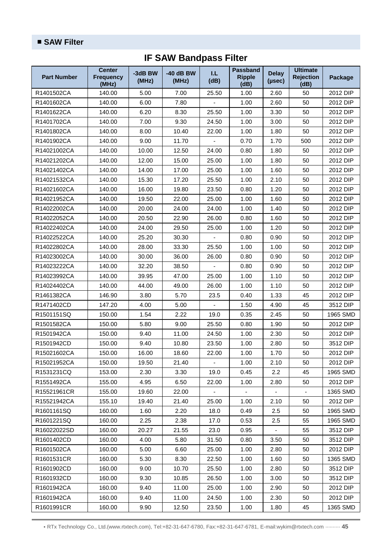| <b>Part Number</b> | <b>Center</b><br><b>Frequency</b><br>(MHz) | -3dB BW<br>(MHz) | $-40$ dB BW<br>(MHz) | T.L.<br>(dB) | <b>Passband</b><br><b>Ripple</b><br>(dB) | <b>Delay</b><br>(µsec) | <b>Ultimate</b><br><b>Rejection</b><br>(dB) | Package  |
|--------------------|--------------------------------------------|------------------|----------------------|--------------|------------------------------------------|------------------------|---------------------------------------------|----------|
| R1401502CA         | 140.00                                     | 5.00             | 7.00                 | 25.50        | 1.00                                     | 2.60                   | 50                                          | 2012 DIP |
| R1401602CA         | 140.00                                     | 6.00             | 7.80                 |              | 1.00                                     | 2.60                   | 50                                          | 2012 DIP |
| R1401622CA         | 140.00                                     | 6.20             | 8.30                 | 25.50        | 1.00                                     | 3.30                   | 50                                          | 2012 DIP |
| R1401702CA         | 140.00                                     | 7.00             | 9.30                 | 24.50        | 1.00                                     | 3.00                   | 50                                          | 2012 DIP |
| R1401802CA         | 140.00                                     | 8.00             | 10.40                | 22.00        | 1.00                                     | 1.80                   | 50                                          | 2012 DIP |
| R1401902CA         | 140.00                                     | 9.00             | 11.70                |              | 0.70                                     | 1.70                   | 500                                         | 2012 DIP |
| R14021002CA        | 140.00                                     | 10.00            | 12.50                | 24.00        | 0.80                                     | 1.80                   | 50                                          | 2012 DIP |
| R14021202CA        | 140.00                                     | 12.00            | 15.00                | 25.00        | 1.00                                     | 1.80                   | 50                                          | 2012 DIP |
| R14021402CA        | 140.00                                     | 14.00            | 17.00                | 25.00        | 1.00                                     | 1.60                   | 50                                          | 2012 DIP |
| R14021532CA        | 140.00                                     | 15.30            | 17.20                | 25.50        | 1.00                                     | 2.10                   | 50                                          | 2012 DIP |
| R14021602CA        | 140.00                                     | 16.00            | 19.80                | 23.50        | 0.80                                     | 1.20                   | 50                                          | 2012 DIP |
| R14021952CA        | 140.00                                     | 19.50            | 22.00                | 25.00        | 1.00                                     | 1.60                   | 50                                          | 2012 DIP |
| R14022002CA        | 140.00                                     | 20.00            | 24.00                | 24.00        | 1.00                                     | 1.40                   | 50                                          | 2012 DIP |
| R14022052CA        | 140.00                                     | 20.50            | 22.90                | 26.00        | 0.80                                     | 1.60                   | 50                                          | 2012 DIP |
| R14022402CA        | 140.00                                     | 24.00            | 29.50                | 25.00        | 1.00                                     | 1.20                   | 50                                          | 2012 DIP |
| R14022522CA        | 140.00                                     | 25.20            | 30.30                |              | 0.80                                     | 0.90                   | 50                                          | 2012 DIP |
| R14022802CA        | 140.00                                     | 28.00            | 33.30                | 25.50        | 1.00                                     | 1.00                   | 50                                          | 2012 DIP |
| R14023002CA        | 140.00                                     | 30.00            | 36.00                | 26.00        | 0.80                                     | 0.90                   | 50                                          | 2012 DIP |
| R14023222CA        | 140.00                                     | 32.20            | 38.50                |              | 0.80                                     | 0.90                   | 50                                          | 2012 DIP |
| R14023992CA        | 140.00                                     | 39.95            | 47.00                | 25.00        | 1.00                                     | 1.10                   | 50                                          | 2012 DIP |
| R14024402CA        | 140.00                                     | 44.00            | 49.00                | 26.00        | 1.00                                     | 1.10                   | 50                                          | 2012 DIP |
| R1461382CA         | 146.90                                     | 3.80             | 5.70                 | 23.5         | 0.40                                     | 1.33                   | 45                                          | 2012 DIP |
| R1471402CD         | 147.20                                     | 4.00             | 5.00                 |              | 1.50                                     | 4.90                   | 45                                          | 3512 DIP |
| R1501151SQ         | 150.00                                     | 1.54             | 2.22                 | 19.0         | 0.35                                     | 2.45                   | 50                                          | 1965 SMD |
| R1501582CA         | 150.00                                     | 5.80             | 9.00                 | 25.50        | 0.80                                     | 1.90                   | 50                                          | 2012 DIP |
| R1501942CA         | 150.00                                     | 9.40             | 11.00                | 24.50        | 1.00                                     | 2.30                   | 50                                          | 2012 DIP |
| R1501942CD         | 150.00                                     | 9.40             | 10.80                | 23.50        | 1.00                                     | 2.80                   | 50                                          | 3512 DIP |
| R15021602CA        | 150.00                                     | 16.00            | 18.60                | 22.00        | 1.00                                     | 1.70                   | 50                                          | 2012 DIP |
| R15021952CA        | 150.00                                     | 19.50            | 21.40                | ÷,           | 1.00                                     | 2.10                   | 50                                          | 2012 DIP |
| R1531231CQ         | 153.00                                     | 2.30             | 3.30                 | 19.0         | 0.45                                     | 2.2                    | 45                                          | 1965 SMD |
| R1551492CA         | 155.00                                     | 4.95             | 6.50                 | 22.00        | 1.00                                     | 2.80                   | 50                                          | 2012 DIP |
| R15521961CR        | 155.00                                     | 19.60            | 22.00                |              |                                          |                        |                                             | 1365 SMD |
| R15521942CA        | 155.10                                     | 19.40            | 21.40                | 25.00        | 1.00                                     | 2.10                   | 50                                          | 2012 DIP |
| R1601161SQ         | 160.00                                     | 1.60             | 2.20                 | 18.0         | 0.49                                     | 2.5                    | 50                                          | 1965 SMD |
| R1601221SQ         | 160.00                                     | 2.25             | 2.38                 | 17.0         | 0.53                                     | 2.5                    | 55                                          | 1965 SMD |
| R16022022SD        | 160.00                                     | 20.27            | 21.55                | 23.0         | 0.95                                     |                        | 55                                          | 3512 DIP |
| R1601402CD         | 160.00                                     | 4.00             | 5.80                 | 31.50        | 0.80                                     | 3.50                   | 50                                          | 3512 DIP |
| R1601502CA         | 160.00                                     | 5.00             | 6.60                 | 25.00        | 1.00                                     | 2.80                   | 50                                          | 2012 DIP |
| R1601531CR         | 160.00                                     | 5.30             | 8.30                 | 22.50        | 1.00                                     | 1.60                   | 50                                          | 1365 SMD |
| R1601902CD         | 160.00                                     | 9.00             | 10.70                | 25.50        | 1.00                                     | 2.80                   | 50                                          | 3512 DIP |
| R1601932CD         | 160.00                                     | 9.30             | 10.85                | 26.50        | 1.00                                     | 3.00                   | 50                                          | 3512 DIP |
| R1601942CA         | 160.00                                     | 9.40             | 11.00                | 25.00        | 1.00                                     | 2.90                   | 50                                          | 2012 DIP |
| R1601942CA         | 160.00                                     | 9.40             | 11.00                | 24.50        | 1.00                                     | 2.30                   | 50                                          | 2012 DIP |
| R1601991CR         | 160.00                                     | 9.90             | 12.50                | 23.50        | 1.00                                     | 1.80                   | 45                                          | 1365 SMD |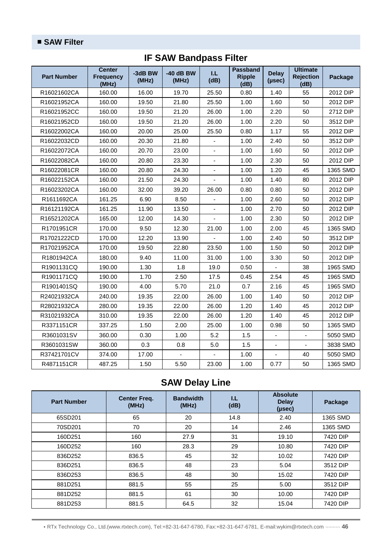| <b>Part Number</b> | <b>Center</b><br><b>Frequency</b><br>(MHz) | -3dB BW<br>(MHz) | $-40$ dB BW<br>(MHz) | LL.<br>(dB)    | <b>Passband</b><br><b>Ripple</b><br>(dB) | <b>Delay</b><br>( <b>µsec</b> ) | <b>Ultimate</b><br><b>Rejection</b><br>(dB) | Package  |
|--------------------|--------------------------------------------|------------------|----------------------|----------------|------------------------------------------|---------------------------------|---------------------------------------------|----------|
| R16021602CA        | 160.00                                     | 16.00            | 19.70                | 25.50          | 0.80                                     | 1.40                            | 55                                          | 2012 DIP |
| R16021952CA        | 160.00                                     | 19.50            | 21.80                | 25.50          | 1.00                                     | 1.60                            | 50                                          | 2012 DIP |
| R16021952CC        | 160.00                                     | 19.50            | 21.20                | 26.00          | 1.00                                     | 2.20                            | 50                                          | 2712 DIP |
| R16021952CD        | 160.00                                     | 19.50            | 21.20                | 26.00          | 1.00                                     | 2.20                            | 50                                          | 3512 DIP |
| R16022002CA        | 160.00                                     | 20.00            | 25.00                | 25.50          | 0.80                                     | 1.17                            | 55                                          | 2012 DIP |
| R16022032CD        | 160.00                                     | 20.30            | 21.80                |                | 1.00                                     | 2.40                            | 50                                          | 3512 DIP |
| R16022072CA        | 160.00                                     | 20.70            | 23.00                |                | 1.00                                     | 1.60                            | 50                                          | 2012 DIP |
| R16022082CA        | 160.00                                     | 20.80            | 23.30                | $\blacksquare$ | 1.00                                     | 2.30                            | 50                                          | 2012 DIP |
| R16022081CR        | 160.00                                     | 20.80            | 24.30                |                | 1.00                                     | 1.20                            | 45                                          | 1365 SMD |
| R16022152CA        | 160.00                                     | 21.50            | 24.30                | $\blacksquare$ | 1.00                                     | 1.40                            | 80                                          | 2012 DIP |
| R16023202CA        | 160.00                                     | 32.00            | 39.20                | 26.00          | 0.80                                     | 0.80                            | 50                                          | 2012 DIP |
| R1611692CA         | 161.25                                     | 6.90             | 8.50                 |                | 1.00                                     | 2.60                            | 50                                          | 2012 DIP |
| R16121192CA        | 161.25                                     | 11.90            | 13.50                | ä,             | 1.00                                     | 2.70                            | 50                                          | 2012 DIP |
| R16521202CA        | 165.00                                     | 12.00            | 14.30                | ÷,             | 1.00                                     | 2.30                            | 50                                          | 2012 DIP |
| R1701951CR         | 170.00                                     | 9.50             | 12.30                | 21.00          | 1.00                                     | 2.00                            | 45                                          | 1365 SMD |
| R17021222CD        | 170.00                                     | 12.20            | 13.90                |                | 1.00                                     | 2.40                            | 50                                          | 3512 DIP |
| R17021952CA        | 170.00                                     | 19.50            | 22.80                | 23.50          | 1.00                                     | 1.50                            | 50                                          | 2012 DIP |
| R1801942CA         | 180.00                                     | 9.40             | 11.00                | 31.00          | 1.00                                     | 3.30                            | 50                                          | 2012 DIP |
| R1901131CQ         | 190.00                                     | 1.30             | 1.8                  | 19.0           | 0.50                                     | $\overline{a}$                  | 38                                          | 1965 SMD |
| R1901171CQ         | 190.00                                     | 1.70             | 2.50                 | 17.5           | 0.45                                     | 2.54                            | 45                                          | 1965 SMD |
| R1901401SQ         | 190.00                                     | 4.00             | 5.70                 | 21.0           | 0.7                                      | 2.16                            | 45                                          | 1965 SMD |
| R24021932CA        | 240.00                                     | 19.35            | 22.00                | 26.00          | 1.00                                     | 1.40                            | 50                                          | 2012 DIP |
| R28021932CA        | 280.00                                     | 19.35            | 22.00                | 26.00          | 1.20                                     | 1.40                            | 45                                          | 2012 DIP |
| R31021932CA        | 310.00                                     | 19.35            | 22.00                | 26.00          | 1.20                                     | 1.40                            | 45                                          | 2012 DIP |
| R3371151CR         | 337.25                                     | 1.50             | 2.00                 | 25.00          | 1.00                                     | 0.98                            | 50                                          | 1365 SMD |
| R3601031SV         | 360.00                                     | 0.30             | 1.00                 | 5.2            | 1.5                                      | $\frac{1}{2}$                   | $\overline{\phantom{a}}$                    | 5050 SMD |
| R3601031SW         | 360.00                                     | 0.3              | 0.8                  | $5.0\,$        | 1.5                                      | ÷,                              | $\blacksquare$                              | 3838 SMD |
| R37421701CV        | 374.00                                     | 17.00            |                      |                | 1.00                                     |                                 | 40                                          | 5050 SMD |
| R4871151CR         | 487.25                                     | 1.50             | 5.50                 | 23.00          | 1.00                                     | 0.77                            | 50                                          | 1365 SMD |

#### **SAW Delay Line**

| <b>Part Number</b> | <b>Center Freq.</b><br>(MHz) | <b>Bandwidth</b><br>(MHz) | IJ<br>(dB) | <b>Absolute</b><br><b>Delay</b><br>(µsec) | Package  |
|--------------------|------------------------------|---------------------------|------------|-------------------------------------------|----------|
| 65SD201            | 65                           | 20                        | 14.8       | 2.40                                      | 1365 SMD |
| 70SD201            | 70                           | 20                        | 14         | 2.46                                      | 1365 SMD |
| 160D251            | 160                          | 27.9                      | 31         | 19.10                                     | 7420 DIP |
| 160D252            | 160                          | 28.3                      | 29         | 10.80                                     | 7420 DIP |
| 836D252            | 836.5                        | 45                        | 32         | 10.02                                     | 7420 DIP |
| 836D251            | 836.5                        | 48                        | 23         | 5.04                                      | 3512 DIP |
| 836D253            | 836.5                        | 48                        | 30         | 15.02                                     | 7420 DIP |
| 881D251            | 881.5                        | 55                        | 25         | 5.00                                      | 3512 DIP |
| 881D252            | 881.5                        | 61                        | 30         | 10.00                                     | 7420 DIP |
| 881D253            | 881.5                        | 64.5                      | 32         | 15.04                                     | 7420 DIP |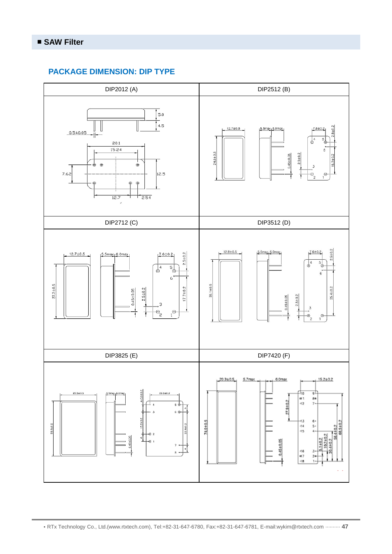#### **PACKAGE DIMENSION: DIP TYPE**